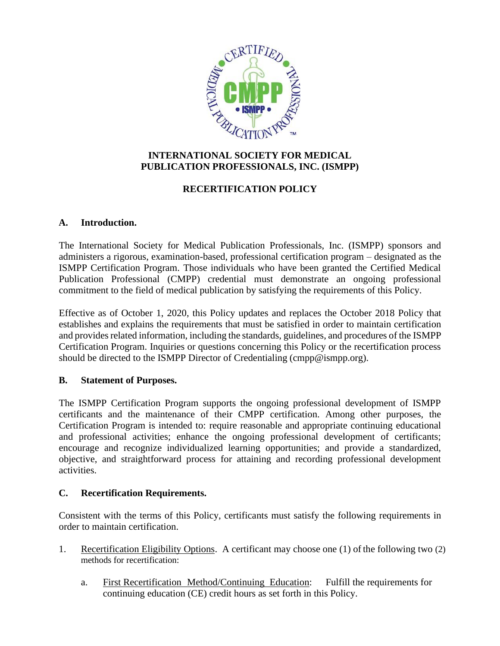

## **INTERNATIONAL SOCIETY FOR MEDICAL PUBLICATION PROFESSIONALS, INC. (ISMPP)**

# **RECERTIFICATION POLICY**

## **A. Introduction.**

The International Society for Medical Publication Professionals, Inc. (ISMPP) sponsors and administers a rigorous, examination-based, professional certification program – designated as the ISMPP Certification Program. Those individuals who have been granted the Certified Medical Publication Professional (CMPP) credential must demonstrate an ongoing professional commitment to the field of medical publication by satisfying the requirements of this Policy.

Effective as of October 1, 2020, this Policy updates and replaces the October 2018 Policy that establishes and explains the requirements that must be satisfied in order to maintain certification and provides related information, including the standards, guidelines, and procedures of the ISMPP Certification Program. Inquiries or questions concerning this Policy or the recertification process should be directed to the ISMPP Director of Credentialing (cmpp@ismpp.org).

### **B. Statement of Purposes.**

The ISMPP Certification Program supports the ongoing professional development of ISMPP certificants and the maintenance of their CMPP certification. Among other purposes, the Certification Program is intended to: require reasonable and appropriate continuing educational and professional activities; enhance the ongoing professional development of certificants; encourage and recognize individualized learning opportunities; and provide a standardized, objective, and straightforward process for attaining and recording professional development activities.

## **C. Recertification Requirements.**

Consistent with the terms of this Policy, certificants must satisfy the following requirements in order to maintain certification.

- 1. Recertification Eligibility Options. A certificant may choose one (1) of the following two (2) methods for recertification:
	- a. First Recertification Method/Continuing Education: Fulfill the requirements for continuing education (CE) credit hours as set forth in this Policy.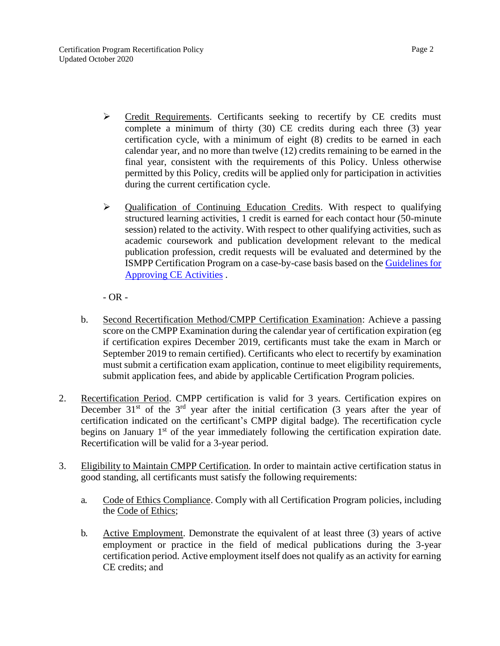- ➢ Credit Requirements. Certificants seeking to recertify by CE credits must complete a minimum of thirty (30) CE credits during each three (3) year certification cycle, with a minimum of eight (8) credits to be earned in each calendar year, and no more than twelve (12) credits remaining to be earned in the final year, consistent with the requirements of this Policy. Unless otherwise permitted by this Policy, credits will be applied only for participation in activities during the current certification cycle.
- ➢ Qualification of Continuing Education Credits. With respect to qualifying structured learning activities, 1 credit is earned for each contact hour (50-minute session) related to the activity. With respect to other qualifying activities, such as academic coursework and publication development relevant to the medical publication profession, credit requests will be evaluated and determined by the ISMPP Certification Program on a case-by-case basis based on the [Guidelines](https://www.ismpp.org/assets/docs/Certification/Recertification/guidelines%20for%20ce%20activities%20mar2017.pdf) fo[r](https://www.ismpp.org/assets/docs/Certification/Recertification/guidelines%20for%20ce%20activities%20mar2017.pdf) [Approving CE Activities](https://www.ismpp.org/assets/docs/Certification/Recertification/guidelines%20for%20ce%20activities%20mar2017.pdf) .

 $- OR -$ 

- b. Second Recertification Method/CMPP Certification Examination: Achieve a passing score on the CMPP Examination during the calendar year of certification expiration (eg if certification expires December 2019, certificants must take the exam in March or September 2019 to remain certified). Certificants who elect to recertify by examination must submit a certification exam application, continue to meet eligibility requirements, submit application fees, and abide by applicable Certification Program policies.
- 2. Recertification Period. CMPP certification is valid for 3 years. Certification expires on December  $31<sup>st</sup>$  of the  $3<sup>rd</sup>$  year after the initial certification (3 years after the year of certification indicated on the certificant's CMPP digital badge). The recertification cycle begins on January  $1<sup>st</sup>$  of the year immediately following the certification expiration date. Recertification will be valid for a 3-year period.
- 3. Eligibility to Maintain CMPP Certification. In order to maintain active certification status in good standing, all certificants must satisfy the following requirements:
	- a. Code of Ethics Compliance. Comply with all Certification Program policies, including the Code of Ethics;
	- b. Active Employment. Demonstrate the equivalent of at least three (3) years of active employment or practice in the field of medical publications during the 3-year certification period. Active employment itself does not qualify as an activity for earning CE credits; and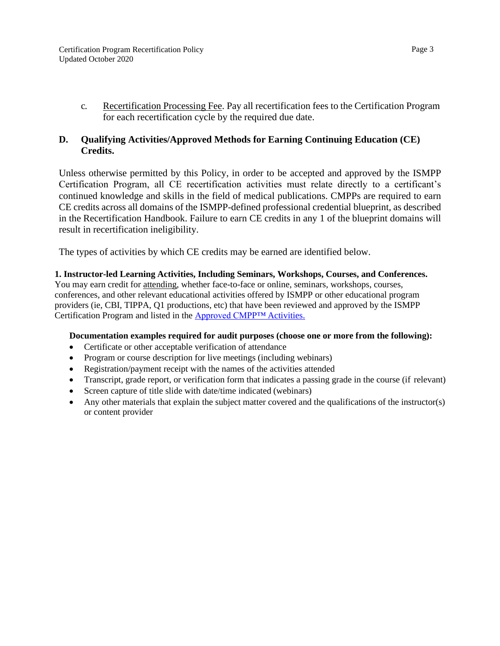c. Recertification Processing Fee. Pay all recertification fees to the Certification Program for each recertification cycle by the required due date.

### **D. Qualifying Activities/Approved Methods for Earning Continuing Education (CE) Credits.**

Unless otherwise permitted by this Policy, in order to be accepted and approved by the ISMPP Certification Program, all CE recertification activities must relate directly to a certificant's continued knowledge and skills in the field of medical publications. CMPPs are required to earn CE credits across all domains of the ISMPP-defined professional credential blueprint, as described in the Recertification Handbook. Failure to earn CE credits in any 1 of the blueprint domains will result in recertification ineligibility.

The types of activities by which CE credits may be earned are identified below.

# **1. Instructor-led Learning Activities, Including Seminars, Workshops, Courses, and Conferences.**

You may earn credit for attending, whether face-to-face or online, seminars, workshops, courses, conferences, and other relevant educational activities offered by ISMPP or other educational program providers (ie, CBI, TIPPA, Q1 productions, etc) that have been reviewed and approved by the ISMPP Certification Program and listed in the [Approved CMPP™](https://app.smartsheet.com/b/publish?EQBCT=3308aa2f0f874317bf2237c52573b9f0) Activities.

### **Documentation examples required for audit purposes (choose one or more from the following):**

- Certificate or other acceptable verification of attendance
- Program or course description for live meetings (including webinars)
- Registration/payment receipt with the names of the activities attended
- Transcript, grade report, or verification form that indicates a passing grade in the course (if relevant)
- Screen capture of title slide with date/time indicated (webinars)
- Any other materials that explain the subject matter covered and the qualifications of the instructor(s) or content provider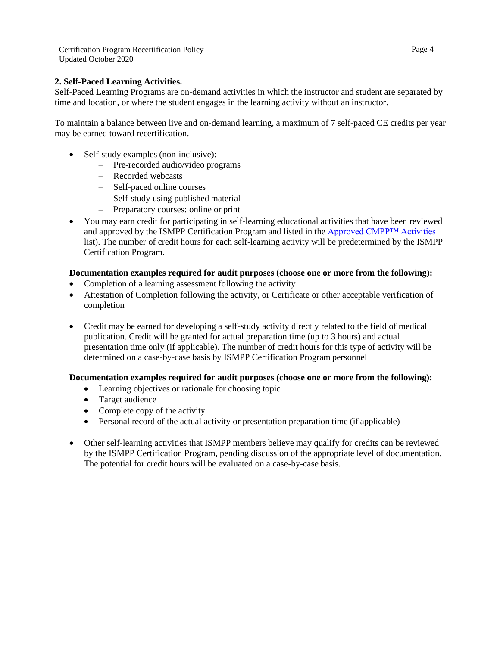Certification Program Recertification Policy Updated October 2020

### **2. Self-Paced Learning Activities.**

Self-Paced Learning Programs are on-demand activities in which the instructor and student are separated by time and location, or where the student engages in the learning activity without an instructor.

To maintain a balance between live and on-demand learning, a maximum of 7 self-paced CE credits per year may be earned toward recertification.

- Self-study examples (non-inclusive):
	- Pre-recorded audio/video programs
	- Recorded webcasts
	- Self-paced online courses
	- Self-study using published material
	- Preparatory courses: online or print
- You may earn credit for participating in self-learning educational activities that have been reviewed and approved by the ISMPP Certification Program and listed in the [Approved CMPP™ Activities](https://app.smartsheet.com/b/publish?EQBCT=3308aa2f0f874317bf2237c52573b9f0) list). The number of credit hours for each self-learning activity will be predetermined by the ISMPP Certification Program.

#### **Documentation examples required for audit purposes (choose one or more from the following):**

- Completion of a learning assessment following the activity
- Attestation of Completion following the activity, or Certificate or other acceptable verification of completion
- Credit may be earned for developing a self-study activity directly related to the field of medical publication. Credit will be granted for actual preparation time (up to 3 hours) and actual presentation time only (if applicable). The number of credit hours for this type of activity will be determined on a case-by-case basis by ISMPP Certification Program personnel

### **Documentation examples required for audit purposes (choose one or more from the following):**

- Learning objectives or rationale for choosing topic
- Target audience
- Complete copy of the activity
- Personal record of the actual activity or presentation preparation time (if applicable)
- Other self-learning activities that ISMPP members believe may qualify for credits can be reviewed by the ISMPP Certification Program, pending discussion of the appropriate level of documentation. The potential for credit hours will be evaluated on a case-by-case basis.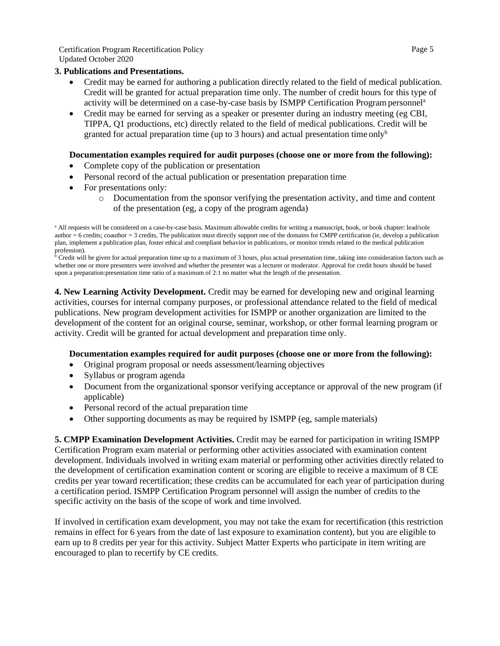Certification Program Recertification Policy Updated October 2020

#### **3. Publications and Presentations.**

- Credit may be earned for authoring a publication directly related to the field of medical publication. Credit will be granted for actual preparation time only. The number of credit hours for this type of activity will be determined on a case-by-case basis by ISMPP Certification Programpersonnel<sup>a</sup>
- Credit may be earned for serving as a speaker or presenter during an industry meeting (eg CBI, TIPPA, Q1 productions, etc) directly related to the field of medical publications. Credit will be granted for actual preparation time (up to 3 hours) and actual presentation time only<sup>b</sup>

#### **Documentation examples required for audit purposes (choose one or more from the following):**

- Complete copy of the publication or presentation
- Personal record of the actual publication or presentation preparation time
- For presentations only:
	- o Documentation from the sponsor verifying the presentation activity, and time and content of the presentation (eg, a copy of the program agenda)

<sup>b</sup> Credit will be given for actual preparation time up to a maximum of 3 hours, plus actual presentation time, taking into consideration factors such as whether one or more presenters were involved and whether the presenter was a lecturer or moderator. Approval for credit hours should be based upon a preparation:presentation time ratio of a maximum of 2:1 no matter what the length of the presentation.

**4. New Learning Activity Development.** Credit may be earned for developing new and original learning activities, courses for internal company purposes, or professional attendance related to the field of medical publications. New program development activities for ISMPP or another organization are limited to the development of the content for an original course, seminar, workshop, or other formal learning program or activity. Credit will be granted for actual development and preparation time only.

#### **Documentation examples required for audit purposes (choose one or more from the following):**

- Original program proposal or needs assessment/learning objectives
- Syllabus or program agenda
- Document from the organizational sponsor verifying acceptance or approval of the new program (if applicable)
- Personal record of the actual preparation time
- Other supporting documents as may be required by ISMPP (eg, sample materials)

**5. CMPP Examination Development Activities.** Credit may be earned for participation in writing ISMPP Certification Program exam material or performing other activities associated with examination content development. Individuals involved in writing exam material or performing other activities directly related to the development of certification examination content or scoring are eligible to receive a maximum of 8 CE credits per year toward recertification; these credits can be accumulated for each year of participation during a certification period. ISMPP Certification Program personnel will assign the number of credits to the specific activity on the basis of the scope of work and time involved.

If involved in certification exam development, you may not take the exam for recertification (this restriction remains in effect for 6 years from the date of last exposure to examination content), but you are eligible to earn up to 8 credits per year for this activity. Subject Matter Experts who participate in item writing are encouraged to plan to recertify by CE credits.

a All requests will be considered on a case-by-case basis. Maximum allowable credits for writing a manuscript, book, or book chapter: lead/sole author  $= 6$  credits; coauthor  $= 3$  credits, The publication must directly support one of the domains for CMPP certification (ie, develop a publication plan, implement a publication plan, foster ethical and compliant behavior in publications, or monitor trends related to the medical publication profession).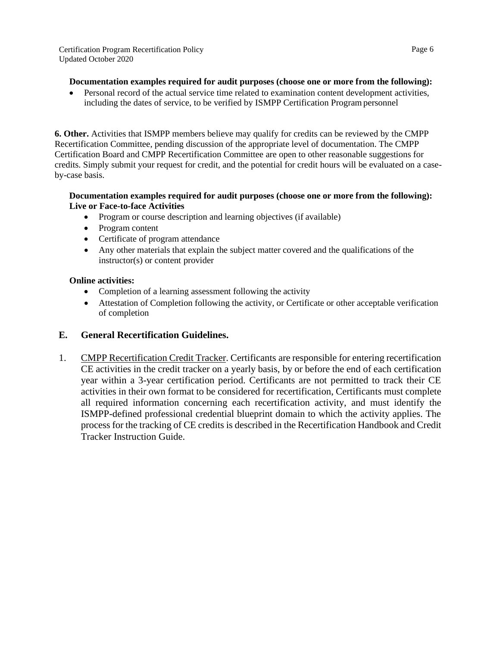### **Documentation examples required for audit purposes (choose one or more from the following):**

• Personal record of the actual service time related to examination content development activities, including the dates of service, to be verified by ISMPP Certification Programpersonnel

**6. Other.** Activities that ISMPP members believe may qualify for credits can be reviewed by the CMPP Recertification Committee, pending discussion of the appropriate level of documentation. The CMPP Certification Board and CMPP Recertification Committee are open to other reasonable suggestions for credits. Simply submit your request for credit, and the potential for credit hours will be evaluated on a caseby-case basis.

### **Documentation examples required for audit purposes (choose one or more from the following): Live or Face-to-face Activities**

- Program or course description and learning objectives (if available)
- Program content
- Certificate of program attendance
- Any other materials that explain the subject matter covered and the qualifications of the instructor(s) or content provider

### **Online activities:**

- Completion of a learning assessment following the activity
- Attestation of Completion following the activity, or Certificate or other acceptable verification of completion

## **E. General Recertification Guidelines.**

1. CMPP Recertification Credit Tracker. Certificants are responsible for entering recertification CE activities in the credit tracker on a yearly basis, by or before the end of each certification year within a 3-year certification period. Certificants are not permitted to track their CE activities in their own format to be considered for recertification, Certificants must complete all required information concerning each recertification activity, and must identify the ISMPP-defined professional credential blueprint domain to which the activity applies. The process for the tracking of CE credits is described in the Recertification Handbook and Credit Tracker Instruction Guide.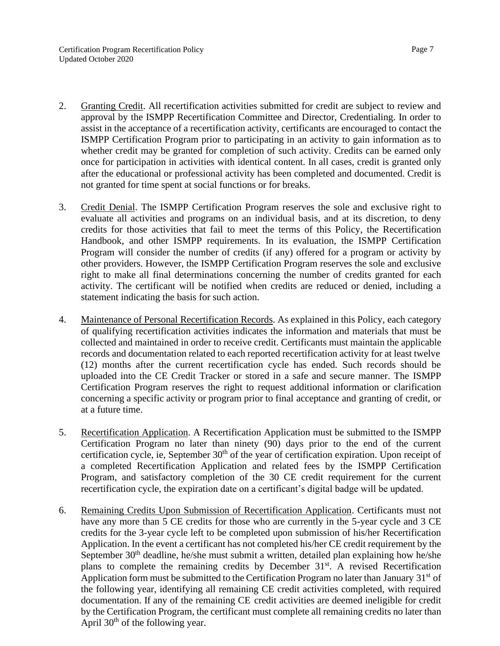- 2. Granting Credit. All recertification activities submitted for credit are subject to review and approval by the ISMPP Recertification Committee and Director, Credentialing. In order to assist in the acceptance of a recertification activity, certificants are encouraged to contact the ISMPP Certification Program prior to participating in an activity to gain information as to whether credit may be granted for completion of such activity. Credits can be earned only once for participation in activities with identical content. In all cases, credit is granted only after the educational or professional activity has been completed and documented. Credit is not granted for time spent at social functions or for breaks.
- 3. Credit Denial. The ISMPP Certification Program reserves the sole and exclusive right to evaluate all activities and programs on an individual basis, and at its discretion, to deny credits for those activities that fail to meet the terms of this Policy, the Recertification Handbook, and other ISMPP requirements. In its evaluation, the ISMPP Certification Program will consider the number of credits (if any) offered for a program or activity by other providers. However, the ISMPP Certification Program reserves the sole and exclusive right to make all final determinations concerning the number of credits granted for each activity. The certificant will be notified when credits are reduced or denied, including a statement indicating the basis for such action.
- 4. Maintenance of Personal Recertification Records. As explained in this Policy, each category of qualifying recertification activities indicates the information and materials that must be collected and maintained in order to receive credit. Certificants must maintain the applicable records and documentation related to each reported recertification activity for at least twelve (12) months after the current recertification cycle has ended. Such records should be uploaded into the CE Credit Tracker or stored in a safe and secure manner. The ISMPP Certification Program reserves the right to request additional information or clarification concerning a specific activity or program prior to final acceptance and granting of credit, or at a future time.
- 5. Recertification Application. A Recertification Application must be submitted to the ISMPP Certification Program no later than ninety (90) days prior to the end of the current certification cycle, ie, September 30<sup>th</sup> of the year of certification expiration. Upon receipt of a completed Recertification Application and related fees by the ISMPP Certification Program, and satisfactory completion of the 30 CE credit requirement for the current recertification cycle, the expiration date on a certificant's digital badge will be updated.
- 6. Remaining Credits Upon Submission of Recertification Application. Certificants must not have any more than 5 CE credits for those who are currently in the 5-year cycle and 3 CE credits for the 3-year cycle left to be completed upon submission of his/her Recertification Application. In the event a certificant has not completed his/her CE credit requirement by the September  $30<sup>th</sup>$  deadline, he/she must submit a written, detailed plan explaining how he/she plans to complete the remaining credits by December  $31<sup>st</sup>$ . A revised Recertification Application form must be submitted to the Certification Program no later than January 31<sup>st</sup> of the following year, identifying all remaining CE credit activities completed, with required documentation. If any of the remaining CE credit activities are deemed ineligible for credit by the Certification Program, the certificant must complete all remaining credits no later than April  $30<sup>th</sup>$  of the following year.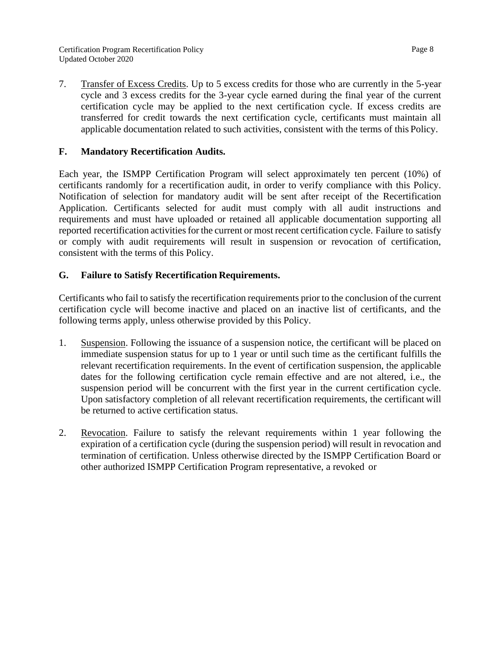7. Transfer of Excess Credits. Up to 5 excess credits for those who are currently in the 5-year cycle and 3 excess credits for the 3-year cycle earned during the final year of the current certification cycle may be applied to the next certification cycle. If excess credits are transferred for credit towards the next certification cycle, certificants must maintain all applicable documentation related to such activities, consistent with the terms of this Policy.

## **F. Mandatory Recertification Audits.**

Each year, the ISMPP Certification Program will select approximately ten percent (10%) of certificants randomly for a recertification audit, in order to verify compliance with this Policy. Notification of selection for mandatory audit will be sent after receipt of the Recertification Application. Certificants selected for audit must comply with all audit instructions and requirements and must have uploaded or retained all applicable documentation supporting all reported recertification activities for the current or most recent certification cycle. Failure to satisfy or comply with audit requirements will result in suspension or revocation of certification, consistent with the terms of this Policy.

## **G. Failure to Satisfy Recertification Requirements.**

Certificants who fail to satisfy the recertification requirements prior to the conclusion of the current certification cycle will become inactive and placed on an inactive list of certificants, and the following terms apply, unless otherwise provided by this Policy.

- 1. Suspension. Following the issuance of a suspension notice, the certificant will be placed on immediate suspension status for up to 1 year or until such time as the certificant fulfills the relevant recertification requirements. In the event of certification suspension, the applicable dates for the following certification cycle remain effective and are not altered, i.e., the suspension period will be concurrent with the first year in the current certification cycle. Upon satisfactory completion of all relevant recertification requirements, the certificant will be returned to active certification status.
- 2. Revocation. Failure to satisfy the relevant requirements within 1 year following the expiration of a certification cycle (during the suspension period) will result in revocation and termination of certification. Unless otherwise directed by the ISMPP Certification Board or other authorized ISMPP Certification Program representative, a revoked or